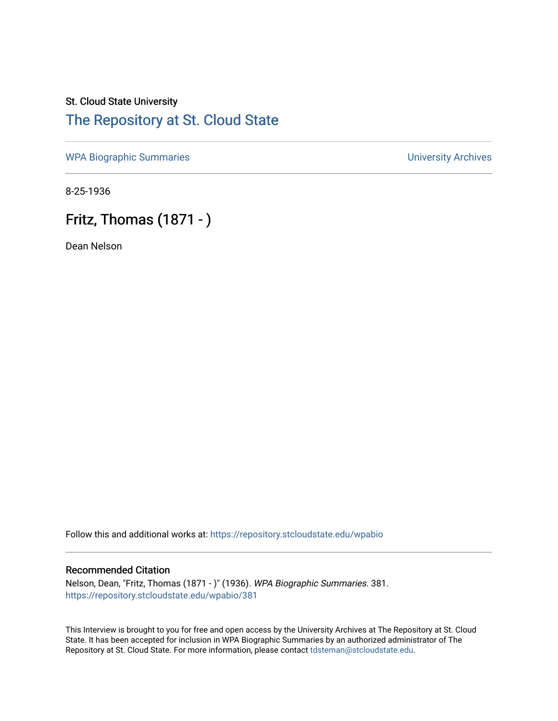## St. Cloud State University [The Repository at St. Cloud State](https://repository.stcloudstate.edu/)

[WPA Biographic Summaries](https://repository.stcloudstate.edu/wpabio) **WPA Biographic Summaries University Archives** 

8-25-1936

# Fritz, Thomas (1871 - )

Dean Nelson

Follow this and additional works at: [https://repository.stcloudstate.edu/wpabio](https://repository.stcloudstate.edu/wpabio?utm_source=repository.stcloudstate.edu%2Fwpabio%2F381&utm_medium=PDF&utm_campaign=PDFCoverPages) 

## Recommended Citation

Nelson, Dean, "Fritz, Thomas (1871 - )" (1936). WPA Biographic Summaries. 381. [https://repository.stcloudstate.edu/wpabio/381](https://repository.stcloudstate.edu/wpabio/381?utm_source=repository.stcloudstate.edu%2Fwpabio%2F381&utm_medium=PDF&utm_campaign=PDFCoverPages) 

This Interview is brought to you for free and open access by the University Archives at The Repository at St. Cloud State. It has been accepted for inclusion in WPA Biographic Summaries by an authorized administrator of The Repository at St. Cloud State. For more information, please contact [tdsteman@stcloudstate.edu.](mailto:tdsteman@stcloudstate.edu)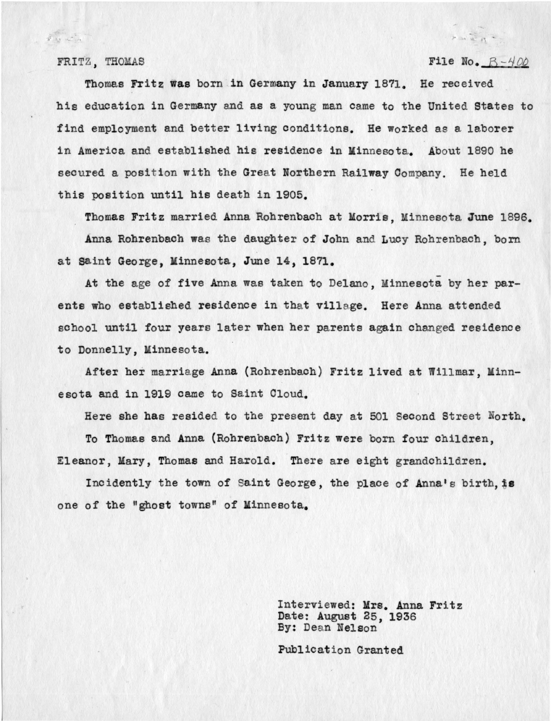$\hat{\mathcal{F}}$  or  $\mathcal{L}$  is

### FRITZ, THOMAS  $P-400$

Pake 3

Thomas Fritz was born in Germany in January 1871. He received his education in Germany and as a young man came to the United States to find employment and better living conditions. He worked as a laborer in America and established his residence in Minnesota. About 1890 he secured a position with the Great Northern Railway Company. He held this position until his death in 1905.

Thomas Fritz married Anna Rohrenbach at Morris, Minnesota June 1896.

Anna Rohrenbach was the daughter of John and Lucy Rohrenbach, born at saint George, Minnesota, June 14, 1871.

At the age of five Anna was taken to Delano, Minnesota by her parents who established residence in that village. Here Anna attended school until four years later when her parents again changed residence to Donnelly, Minnesota.

After her marriage Anna (Rohrenbaoh) Fritz lived at Willmar, Minnesota and in 1919 came to Saint Cloud.

Here she has resided to the present day at 501 Second Street North.

To Thomas and Anna (Rohrenbach) Fritz were born four children, Eleanor, Mary, Thomas and Harold. There are eight grandchildren.

Incidently the town of Saint George, the place of Anna's birth, is one of the "ghost towns" of Minnesota.

> Interviewed: Mrs. Anna Fritz Date: August 25, 1936 By: Deen Nelson

Publication Granted